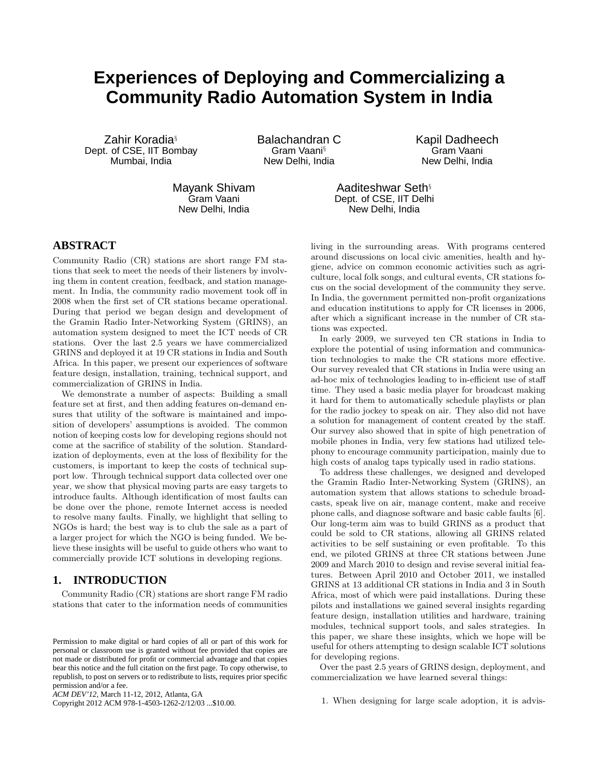# **Experiences of Deploying and Commercializing a Community Radio Automation System in India**

Zahir Koradia§ Dept. of CSE, IIT Bombay Mumbai, India

Balachandran C Gram Vaani§ New Delhi, India

Kapil Dadheech Gram Vaani New Delhi, India

Mayank Shivam Gram Vaani New Delhi, India

Aaditeshwar Seth§ Dept. of CSE, IIT Delhi New Delhi, India

# **ABSTRACT**

Community Radio (CR) stations are short range FM stations that seek to meet the needs of their listeners by involving them in content creation, feedback, and station management. In India, the community radio movement took off in 2008 when the first set of CR stations became operational. During that period we began design and development of the Gramin Radio Inter-Networking System (GRINS), an automation system designed to meet the ICT needs of CR stations. Over the last 2.5 years we have commercialized GRINS and deployed it at 19 CR stations in India and South Africa. In this paper, we present our experiences of software feature design, installation, training, technical support, and commercialization of GRINS in India.

We demonstrate a number of aspects: Building a small feature set at first, and then adding features on-demand ensures that utility of the software is maintained and imposition of developers' assumptions is avoided. The common notion of keeping costs low for developing regions should not come at the sacrifice of stability of the solution. Standardization of deployments, even at the loss of flexibility for the customers, is important to keep the costs of technical support low. Through technical support data collected over one year, we show that physical moving parts are easy targets to introduce faults. Although identification of most faults can be done over the phone, remote Internet access is needed to resolve many faults. Finally, we highlight that selling to NGOs is hard; the best way is to club the sale as a part of a larger project for which the NGO is being funded. We believe these insights will be useful to guide others who want to commercially provide ICT solutions in developing regions.

# **1. INTRODUCTION**

Community Radio (CR) stations are short range FM radio stations that cater to the information needs of communities

Copyright 2012 ACM 978-1-4503-1262-2/12/03 ...\$10.00.

living in the surrounding areas. With programs centered around discussions on local civic amenities, health and hygiene, advice on common economic activities such as agriculture, local folk songs, and cultural events, CR stations focus on the social development of the community they serve. In India, the government permitted non-profit organizations and education institutions to apply for CR licenses in 2006, after which a significant increase in the number of CR stations was expected.

In early 2009, we surveyed ten CR stations in India to explore the potential of using information and communication technologies to make the CR stations more effective. Our survey revealed that CR stations in India were using an ad-hoc mix of technologies leading to in-efficient use of staff time. They used a basic media player for broadcast making it hard for them to automatically schedule playlists or plan for the radio jockey to speak on air. They also did not have a solution for management of content created by the staff. Our survey also showed that in spite of high penetration of mobile phones in India, very few stations had utilized telephony to encourage community participation, mainly due to high costs of analog taps typically used in radio stations.

To address these challenges, we designed and developed the Gramin Radio Inter-Networking System (GRINS), an automation system that allows stations to schedule broadcasts, speak live on air, manage content, make and receive phone calls, and diagnose software and basic cable faults [6]. Our long-term aim was to build GRINS as a product that could be sold to CR stations, allowing all GRINS related activities to be self sustaining or even profitable. To this end, we piloted GRINS at three CR stations between June 2009 and March 2010 to design and revise several initial features. Between April 2010 and October 2011, we installed GRINS at 13 additional CR stations in India and 3 in South Africa, most of which were paid installations. During these pilots and installations we gained several insights regarding feature design, installation utilities and hardware, training modules, technical support tools, and sales strategies. In this paper, we share these insights, which we hope will be useful for others attempting to design scalable ICT solutions for developing regions.

Over the past 2.5 years of GRINS design, deployment, and commercialization we have learned several things:

1. When designing for large scale adoption, it is advis-

Permission to make digital or hard copies of all or part of this work for personal or classroom use is granted without fee provided that copies are not made or distributed for profit or commercial advantage and that copies bear this notice and the full citation on the first page. To copy otherwise, to republish, to post on servers or to redistribute to lists, requires prior specific permission and/or a fee.

*ACM DEV'12,* March 11-12, 2012, Atlanta, GA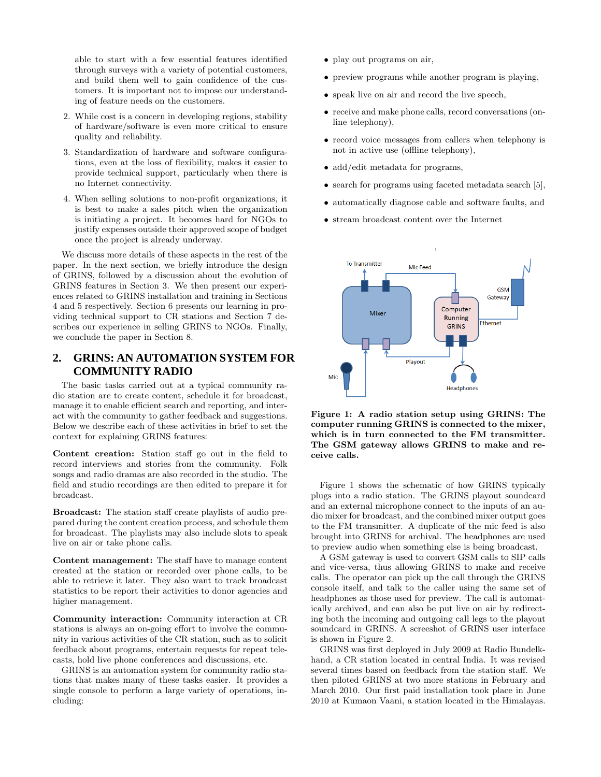able to start with a few essential features identified through surveys with a variety of potential customers, and build them well to gain confidence of the customers. It is important not to impose our understanding of feature needs on the customers.

- 2. While cost is a concern in developing regions, stability of hardware/software is even more critical to ensure quality and reliability.
- 3. Standardization of hardware and software configurations, even at the loss of flexibility, makes it easier to provide technical support, particularly when there is no Internet connectivity.
- 4. When selling solutions to non-profit organizations, it is best to make a sales pitch when the organization is initiating a project. It becomes hard for NGOs to justify expenses outside their approved scope of budget once the project is already underway.

We discuss more details of these aspects in the rest of the paper. In the next section, we briefly introduce the design of GRINS, followed by a discussion about the evolution of GRINS features in Section 3. We then present our experiences related to GRINS installation and training in Sections 4 and 5 respectively. Section 6 presents our learning in providing technical support to CR stations and Section 7 describes our experience in selling GRINS to NGOs. Finally, we conclude the paper in Section 8.

# **2. GRINS: AN AUTOMATION SYSTEM FOR COMMUNITY RADIO**

The basic tasks carried out at a typical community radio station are to create content, schedule it for broadcast, manage it to enable efficient search and reporting, and interact with the community to gather feedback and suggestions. Below we describe each of these activities in brief to set the context for explaining GRINS features:

Content creation: Station staff go out in the field to record interviews and stories from the community. Folk songs and radio dramas are also recorded in the studio. The field and studio recordings are then edited to prepare it for broadcast.

Broadcast: The station staff create playlists of audio prepared during the content creation process, and schedule them for broadcast. The playlists may also include slots to speak live on air or take phone calls.

Content management: The staff have to manage content created at the station or recorded over phone calls, to be able to retrieve it later. They also want to track broadcast statistics to be report their activities to donor agencies and higher management.

Community interaction: Community interaction at CR stations is always an on-going effort to involve the community in various activities of the CR station, such as to solicit feedback about programs, entertain requests for repeat telecasts, hold live phone conferences and discussions, etc.

GRINS is an automation system for community radio stations that makes many of these tasks easier. It provides a single console to perform a large variety of operations, including:

- play out programs on air,
- preview programs while another program is playing,
- speak live on air and record the live speech,
- receive and make phone calls, record conversations (online telephony),
- record voice messages from callers when telephony is not in active use (offline telephony),
- add/edit metadata for programs,
- search for programs using faceted metadata search [5],
- automatically diagnose cable and software faults, and
- stream broadcast content over the Internet



Figure 1: A radio station setup using GRINS: The computer running GRINS is connected to the mixer, which is in turn connected to the FM transmitter. The GSM gateway allows GRINS to make and receive calls.

Figure 1 shows the schematic of how GRINS typically plugs into a radio station. The GRINS playout soundcard and an external microphone connect to the inputs of an audio mixer for broadcast, and the combined mixer output goes to the FM transmitter. A duplicate of the mic feed is also brought into GRINS for archival. The headphones are used to preview audio when something else is being broadcast.

A GSM gateway is used to convert GSM calls to SIP calls and vice-versa, thus allowing GRINS to make and receive calls. The operator can pick up the call through the GRINS console itself, and talk to the caller using the same set of headphones as those used for preview. The call is automatically archived, and can also be put live on air by redirecting both the incoming and outgoing call legs to the playout soundcard in GRINS. A screeshot of GRINS user interface is shown in Figure 2.

GRINS was first deployed in July 2009 at Radio Bundelkhand, a CR station located in central India. It was revised several times based on feedback from the station staff. We then piloted GRINS at two more stations in February and March 2010. Our first paid installation took place in June 2010 at Kumaon Vaani, a station located in the Himalayas.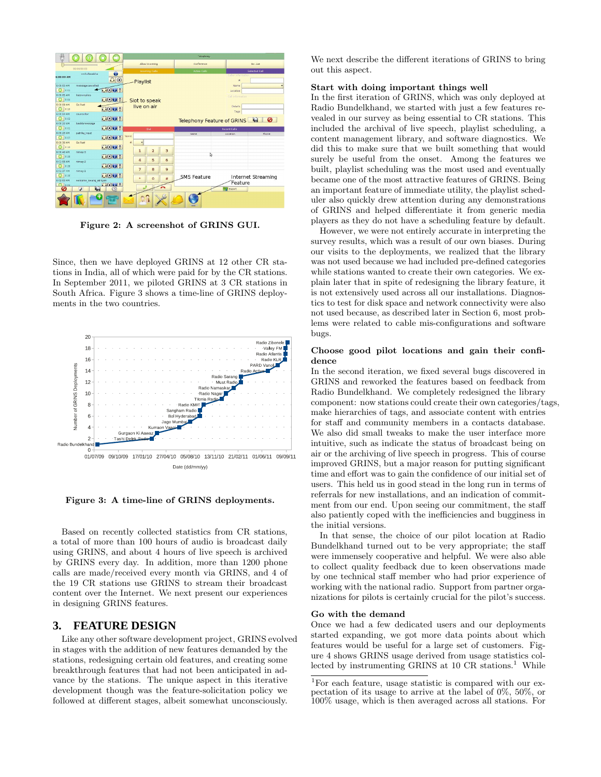|                                  |                               |                         | Telephony      |                       |                         |            |                            |         |                          |                    |
|----------------------------------|-------------------------------|-------------------------|----------------|-----------------------|-------------------------|------------|----------------------------|---------|--------------------------|--------------------|
|                                  | 00:00/00:03                   |                         | Allow Incoming |                       |                         | Conference |                            | Go Live |                          |                    |
|                                  |                               |                         |                |                       | <b>Incoming Calls</b>   |            | <b>Active Calls</b>        |         |                          | Selected Call      |
| 6:00:00 AM                       | mohollaszbha                  | $\bullet$<br>$\Omega$   |                | Playlist              |                         |            |                            |         | Caller Infermation<br>z. |                    |
| 6:00:03 AM                       | messagecantelled              |                         |                |                       |                         |            |                            |         | Name                     |                    |
| $\bigcirc$ 0.01                  |                               | <b>THOUR</b>            |                |                       |                         |            |                            |         | Location                 |                    |
| 6:00:05 AM                       | listenreplies                 |                         |                |                       |                         |            |                            |         | Call Information         |                    |
| $\bigcirc$ 0.84                  |                               | <b>LIOUT</b>            |                | Slot to speak         |                         |            |                            |         |                          |                    |
| 6:00:09 AM                       | Go live!                      |                         |                | live on air           |                         |            |                            |         | <b>Details</b>           |                    |
| 0:10                             |                               | <b>CIOU!</b>            |                |                       |                         |            |                            |         |                          |                    |
| 6:00:19 AM                       | counseller                    |                         |                |                       |                         |            |                            |         | Tags:                    |                    |
| $\bigcirc$ $\circ$ $\circ$ 2     |                               | CIOUT                   |                |                       |                         |            | Telephony Feature of GRINS |         |                          | Ø                  |
| 6:00:22 AM                       | backtomessage                 |                         |                |                       |                         |            |                            |         |                          |                    |
| $\bigcirc$ 0.01                  |                               | CIOUP                   |                |                       | Dial                    |            |                            |         | <b>Recent Calls</b>      |                    |
| 6:00:23 AM                       | patrika input                 |                         |                |                       |                         |            | Name                       |         | Location                 | Phone              |
| $\bigcirc$ 0.07                  |                               | <b>CIOUR</b>            | Name:          |                       |                         |            |                            |         |                          |                    |
| 6:00:30 AM                       | Go live!                      |                         | $\frac{1}{2}$  | ۰                     |                         |            |                            |         |                          |                    |
| $\bigcirc$ 0.10                  |                               | <b>DOU!</b>             |                |                       |                         |            |                            |         |                          |                    |
| 6:00:40 AM                       | nimay-3                       |                         |                | $\mathbf{1}$          | $\overline{\mathbf{c}}$ | 3          |                            |         |                          |                    |
| $\bigcirc$ 0.28                  |                               | <b>LIOUT</b>            |                |                       |                         |            |                            | Þ       |                          |                    |
| 6:01:08 AM                       | nimav-2                       |                         |                | 4                     | 5                       | 6          |                            |         |                          |                    |
| $\bigcirc$ 0.28                  |                               | <b>CIOCIT</b>           |                |                       |                         |            |                            |         |                          |                    |
| 6:01:37 AM                       | nimav-1                       |                         |                | $\overline{7}$        | 8                       | 9          |                            |         |                          |                    |
| $\bigcirc$ 0.26                  |                               | <b>DOUT</b>             |                |                       |                         |            | <b>SMS Feature</b>         |         |                          | Internet Streaming |
| 6:02:03 AM                       | welcome_swaraj_abhiyan        |                         |                |                       | $\Omega$                | #          |                            |         | Feature                  |                    |
| $\bigcirc$ $\bigcirc$ $\bigcirc$ |                               | <b>FIOLD</b>            |                |                       |                         |            |                            |         |                          |                    |
| ø                                | H<br>$\overline{\phantom{a}}$ | $\overline{\mathbb{G}}$ |                |                       |                         |            |                            |         | <b>Export</b>            |                    |
|                                  |                               | 0.61                    |                | $\triangleright$<br>v |                         |            |                            |         |                          |                    |

Figure 2: A screenshot of GRINS GUI.

Since, then we have deployed GRINS at 12 other CR stations in India, all of which were paid for by the CR stations. In September 2011, we piloted GRINS at 3 CR stations in South Africa. Figure 3 shows a time-line of GRINS deployments in the two countries.



Figure 3: A time-line of GRINS deployments.

Based on recently collected statistics from CR stations, a total of more than 100 hours of audio is broadcast daily using GRINS, and about 4 hours of live speech is archived by GRINS every day. In addition, more than 1200 phone calls are made/received every month via GRINS, and 4 of the 19 CR stations use GRINS to stream their broadcast content over the Internet. We next present our experiences in designing GRINS features.

# **3. FEATURE DESIGN**

Like any other software development project, GRINS evolved in stages with the addition of new features demanded by the stations, redesigning certain old features, and creating some breakthrough features that had not been anticipated in advance by the stations. The unique aspect in this iterative development though was the feature-solicitation policy we followed at different stages, albeit somewhat unconsciously.

We next describe the different iterations of GRINS to bring out this aspect.

#### Start with doing important things well

In the first iteration of GRINS, which was only deployed at Radio Bundelkhand, we started with just a few features revealed in our survey as being essential to CR stations. This included the archival of live speech, playlist scheduling, a content management library, and software diagnostics. We did this to make sure that we built something that would surely be useful from the onset. Among the features we built, playlist scheduling was the most used and eventually became one of the most attractive features of GRINS. Being an important feature of immediate utility, the playlist scheduler also quickly drew attention during any demonstrations of GRINS and helped differentiate it from generic media players as they do not have a scheduling feature by default.

However, we were not entirely accurate in interpreting the survey results, which was a result of our own biases. During our visits to the deployments, we realized that the library was not used because we had included pre-defined categories while stations wanted to create their own categories. We explain later that in spite of redesigning the library feature, it is not extensively used across all our installations. Diagnostics to test for disk space and network connectivity were also not used because, as described later in Section 6, most problems were related to cable mis-configurations and software bugs.

#### Choose good pilot locations and gain their confidence

In the second iteration, we fixed several bugs discovered in GRINS and reworked the features based on feedback from Radio Bundelkhand. We completely redesigned the library component: now stations could create their own categories/tags, make hierarchies of tags, and associate content with entries for staff and community members in a contacts database. We also did small tweaks to make the user interface more intuitive, such as indicate the status of broadcast being on air or the archiving of live speech in progress. This of course improved GRINS, but a major reason for putting significant time and effort was to gain the confidence of our initial set of users. This held us in good stead in the long run in terms of referrals for new installations, and an indication of commitment from our end. Upon seeing our commitment, the staff also patiently coped with the inefficiencies and bugginess in the initial versions.

In that sense, the choice of our pilot location at Radio Bundelkhand turned out to be very appropriate; the staff were immensely cooperative and helpful. We were also able to collect quality feedback due to keen observations made by one technical staff member who had prior experience of working with the national radio. Support from partner organizations for pilots is certainly crucial for the pilot's success.

#### Go with the demand

Once we had a few dedicated users and our deployments started expanding, we got more data points about which features would be useful for a large set of customers. Figure 4 shows GRINS usage derived from usage statistics collected by instrumenting GRINS at  $10 \text{ CR}$  stations.<sup>1</sup> While

<sup>&</sup>lt;sup>1</sup>For each feature, usage statistic is compared with our expectation of its usage to arrive at the label of 0%, 50%, or 100% usage, which is then averaged across all stations. For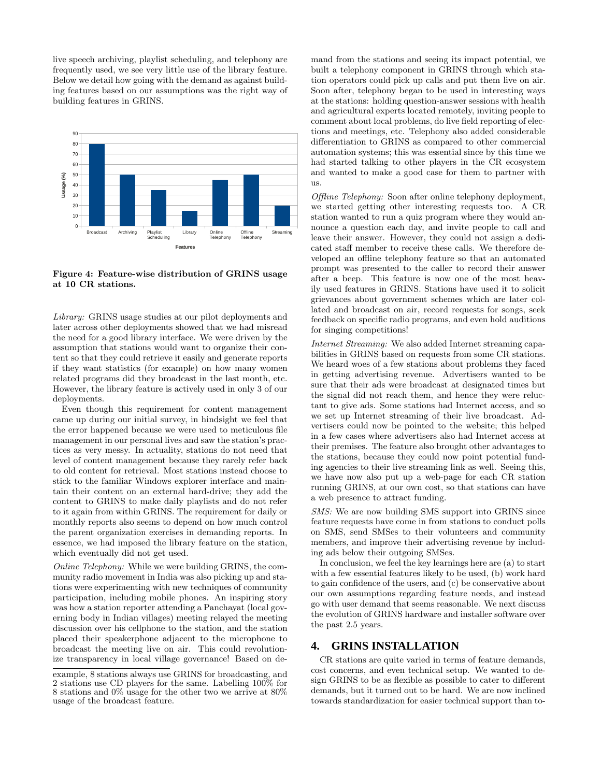live speech archiving, playlist scheduling, and telephony are frequently used, we see very little use of the library feature. Below we detail how going with the demand as against building features based on our assumptions was the right way of building features in GRINS.



Figure 4: Feature-wise distribution of GRINS usage at 10 CR stations.

Library: GRINS usage studies at our pilot deployments and later across other deployments showed that we had misread the need for a good library interface. We were driven by the assumption that stations would want to organize their content so that they could retrieve it easily and generate reports if they want statistics (for example) on how many women related programs did they broadcast in the last month, etc. However, the library feature is actively used in only 3 of our deployments.

Even though this requirement for content management came up during our initial survey, in hindsight we feel that the error happened because we were used to meticulous file management in our personal lives and saw the station's practices as very messy. In actuality, stations do not need that level of content management because they rarely refer back to old content for retrieval. Most stations instead choose to stick to the familiar Windows explorer interface and maintain their content on an external hard-drive; they add the content to GRINS to make daily playlists and do not refer to it again from within GRINS. The requirement for daily or monthly reports also seems to depend on how much control the parent organization exercises in demanding reports. In essence, we had imposed the library feature on the station, which eventually did not get used.

Online Telephony: While we were building GRINS, the community radio movement in India was also picking up and stations were experimenting with new techniques of community participation, including mobile phones. An inspiring story was how a station reporter attending a Panchayat (local governing body in Indian villages) meeting relayed the meeting discussion over his cellphone to the station, and the station placed their speakerphone adjacent to the microphone to broadcast the meeting live on air. This could revolutionize transparency in local village governance! Based on demand from the stations and seeing its impact potential, we built a telephony component in GRINS through which station operators could pick up calls and put them live on air. Soon after, telephony began to be used in interesting ways at the stations: holding question-answer sessions with health and agricultural experts located remotely, inviting people to comment about local problems, do live field reporting of elections and meetings, etc. Telephony also added considerable differentiation to GRINS as compared to other commercial automation systems; this was essential since by this time we had started talking to other players in the CR ecosystem and wanted to make a good case for them to partner with us.

Offline Telephony: Soon after online telephony deployment, we started getting other interesting requests too. A CR station wanted to run a quiz program where they would announce a question each day, and invite people to call and leave their answer. However, they could not assign a dedicated staff member to receive these calls. We therefore developed an offline telephony feature so that an automated prompt was presented to the caller to record their answer after a beep. This feature is now one of the most heavily used features in GRINS. Stations have used it to solicit grievances about government schemes which are later collated and broadcast on air, record requests for songs, seek feedback on specific radio programs, and even hold auditions for singing competitions!

Internet Streaming: We also added Internet streaming capabilities in GRINS based on requests from some CR stations. We heard woes of a few stations about problems they faced in getting advertising revenue. Advertisers wanted to be sure that their ads were broadcast at designated times but the signal did not reach them, and hence they were reluctant to give ads. Some stations had Internet access, and so we set up Internet streaming of their live broadcast. Advertisers could now be pointed to the website; this helped in a few cases where advertisers also had Internet access at their premises. The feature also brought other advantages to the stations, because they could now point potential funding agencies to their live streaming link as well. Seeing this, we have now also put up a web-page for each CR station running GRINS, at our own cost, so that stations can have a web presence to attract funding.

SMS: We are now building SMS support into GRINS since feature requests have come in from stations to conduct polls on SMS, send SMSes to their volunteers and community members, and improve their advertising revenue by including ads below their outgoing SMSes.

In conclusion, we feel the key learnings here are (a) to start with a few essential features likely to be used, (b) work hard to gain confidence of the users, and (c) be conservative about our own assumptions regarding feature needs, and instead go with user demand that seems reasonable. We next discuss the evolution of GRINS hardware and installer software over the past 2.5 years.

# **4. GRINS INSTALLATION**

CR stations are quite varied in terms of feature demands, cost concerns, and even technical setup. We wanted to design GRINS to be as flexible as possible to cater to different demands, but it turned out to be hard. We are now inclined towards standardization for easier technical support than to-

example, 8 stations always use GRINS for broadcasting, and 2 stations use CD players for the same. Labelling 100% for 8 stations and 0% usage for the other two we arrive at 80% usage of the broadcast feature.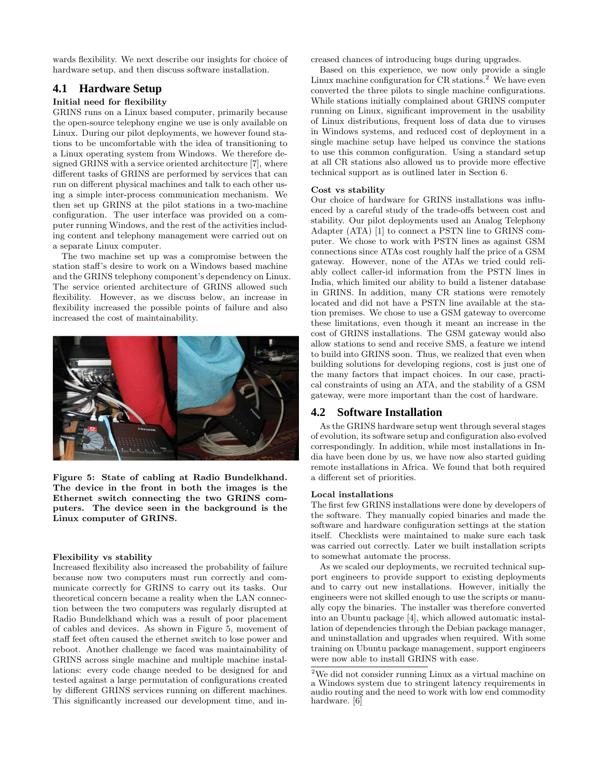wards flexibility. We next describe our insights for choice of hardware setup, and then discuss software installation.

# **4.1 Hardware Setup**

## Initial need for flexibility

GRINS runs on a Linux based computer, primarily because the open-source telephony engine we use is only available on Linux. During our pilot deployments, we however found stations to be uncomfortable with the idea of transitioning to a Linux operating system from Windows. We therefore designed GRINS with a service oriented architecture [7], where different tasks of GRINS are performed by services that can run on different physical machines and talk to each other using a simple inter-process communication mechanism. We then set up GRINS at the pilot stations in a two-machine configuration. The user interface was provided on a computer running Windows, and the rest of the activities including content and telephony management were carried out on a separate Linux computer.

The two machine set up was a compromise between the station staff's desire to work on a Windows based machine and the GRINS telephony component's dependency on Linux. The service oriented architecture of GRINS allowed such flexibility. However, as we discuss below, an increase in flexibility increased the possible points of failure and also increased the cost of maintainability.



Figure 5: State of cabling at Radio Bundelkhand. The device in the front in both the images is the Ethernet switch connecting the two GRINS computers. The device seen in the background is the Linux computer of GRINS.

#### Flexibility vs stability

Increased flexibility also increased the probability of failure because now two computers must run correctly and communicate correctly for GRINS to carry out its tasks. Our theoretical concern became a reality when the LAN connection between the two computers was regularly disrupted at Radio Bundelkhand which was a result of poor placement of cables and devices. As shown in Figure 5, movement of staff feet often caused the ethernet switch to lose power and reboot. Another challenge we faced was maintainability of GRINS across single machine and multiple machine installations: every code change needed to be designed for and tested against a large permutation of configurations created by different GRINS services running on different machines. This significantly increased our development time, and increased chances of introducing bugs during upgrades.

Based on this experience, we now only provide a single Linux machine configuration for  $CR$  stations.<sup>2</sup> We have even converted the three pilots to single machine configurations. While stations initially complained about GRINS computer running on Linux, significant improvement in the usability of Linux distributions, frequent loss of data due to viruses in Windows systems, and reduced cost of deployment in a single machine setup have helped us convince the stations to use this common configuration. Using a standard setup at all CR stations also allowed us to provide more effective technical support as is outlined later in Section 6.

#### Cost vs stability

Our choice of hardware for GRINS installations was influenced by a careful study of the trade-offs between cost and stability. Our pilot deployments used an Analog Telephony Adapter (ATA) [1] to connect a PSTN line to GRINS computer. We chose to work with PSTN lines as against GSM connections since ATAs cost roughly half the price of a GSM gateway. However, none of the ATAs we tried could reliably collect caller-id information from the PSTN lines in India, which limited our ability to build a listener database in GRINS. In addition, many CR stations were remotely located and did not have a PSTN line available at the station premises. We chose to use a GSM gateway to overcome these limitations, even though it meant an increase in the cost of GRINS installations. The GSM gateway would also allow stations to send and receive SMS, a feature we intend to build into GRINS soon. Thus, we realized that even when building solutions for developing regions, cost is just one of the many factors that impact choices. In our case, practical constraints of using an ATA, and the stability of a GSM gateway, were more important than the cost of hardware.

# **4.2 Software Installation**

As the GRINS hardware setup went through several stages of evolution, its software setup and configuration also evolved correspondingly. In addition, while most installations in India have been done by us, we have now also started guiding remote installations in Africa. We found that both required a different set of priorities.

## Local installations

The first few GRINS installations were done by developers of the software. They manually copied binaries and made the software and hardware configuration settings at the station itself. Checklists were maintained to make sure each task was carried out correctly. Later we built installation scripts to somewhat automate the process.

As we scaled our deployments, we recruited technical support engineers to provide support to existing deployments and to carry out new installations. However, initially the engineers were not skilled enough to use the scripts or manually copy the binaries. The installer was therefore converted into an Ubuntu package [4], which allowed automatic installation of dependencies through the Debian package manager, and uninstallation and upgrades when required. With some training on Ubuntu package management, support engineers were now able to install GRINS with ease.

 $^2\mathrm{We}$  did not consider running Linux as a virtual machine on a Windows system due to stringent latency requirements in audio routing and the need to work with low end commodity hardware. [6]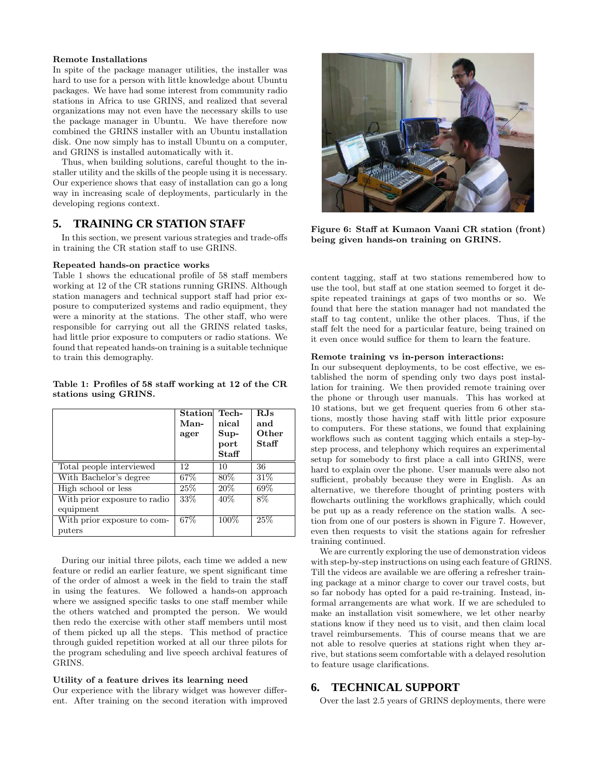#### Remote Installations

In spite of the package manager utilities, the installer was hard to use for a person with little knowledge about Ubuntu packages. We have had some interest from community radio stations in Africa to use GRINS, and realized that several organizations may not even have the necessary skills to use the package manager in Ubuntu. We have therefore now combined the GRINS installer with an Ubuntu installation disk. One now simply has to install Ubuntu on a computer, and GRINS is installed automatically with it.

Thus, when building solutions, careful thought to the installer utility and the skills of the people using it is necessary. Our experience shows that easy of installation can go a long way in increasing scale of deployments, particularly in the developing regions context.

# **5. TRAINING CR STATION STAFF**

In this section, we present various strategies and trade-offs in training the CR station staff to use GRINS.

#### Repeated hands-on practice works

Table 1 shows the educational profile of 58 staff members working at 12 of the CR stations running GRINS. Although station managers and technical support staff had prior exposure to computerized systems and radio equipment, they were a minority at the stations. The other staff, who were responsible for carrying out all the GRINS related tasks, had little prior exposure to computers or radio stations. We found that repeated hands-on training is a suitable technique to train this demography.

## Table 1: Profiles of 58 staff working at 12 of the CR stations using GRINS.

|                                           | <b>Station</b> Tech-<br>$Man-$<br>ager | nical<br>$\sup$ -<br>port<br><b>Staff</b> | RJs<br>and<br>Other<br>Staff |
|-------------------------------------------|----------------------------------------|-------------------------------------------|------------------------------|
| Total people interviewed                  | 12                                     | 10                                        | 36                           |
| With Bachelor's degree                    | 67\%                                   | 80\%                                      | $31\%$                       |
| High school or less                       | 25\%                                   | 20\%                                      | 69%                          |
| With prior exposure to radio<br>equipment | 33\%                                   | 40%                                       | 8%                           |
| With prior exposure to com-<br>puters     | 67\%                                   | 100%                                      | $25\%$                       |

During our initial three pilots, each time we added a new feature or redid an earlier feature, we spent significant time of the order of almost a week in the field to train the staff in using the features. We followed a hands-on approach where we assigned specific tasks to one staff member while the others watched and prompted the person. We would then redo the exercise with other staff members until most of them picked up all the steps. This method of practice through guided repetition worked at all our three pilots for the program scheduling and live speech archival features of GRINS.

### Utility of a feature drives its learning need

Our experience with the library widget was however different. After training on the second iteration with improved



Figure 6: Staff at Kumaon Vaani CR station (front) being given hands-on training on GRINS.

content tagging, staff at two stations remembered how to use the tool, but staff at one station seemed to forget it despite repeated trainings at gaps of two months or so. We found that here the station manager had not mandated the staff to tag content, unlike the other places. Thus, if the staff felt the need for a particular feature, being trained on it even once would suffice for them to learn the feature.

#### Remote training vs in-person interactions:

In our subsequent deployments, to be cost effective, we established the norm of spending only two days post installation for training. We then provided remote training over the phone or through user manuals. This has worked at 10 stations, but we get frequent queries from 6 other stations, mostly those having staff with little prior exposure to computers. For these stations, we found that explaining workflows such as content tagging which entails a step-bystep process, and telephony which requires an experimental setup for somebody to first place a call into GRINS, were hard to explain over the phone. User manuals were also not sufficient, probably because they were in English. As an alternative, we therefore thought of printing posters with flowcharts outlining the workflows graphically, which could be put up as a ready reference on the station walls. A section from one of our posters is shown in Figure 7. However, even then requests to visit the stations again for refresher training continued.

We are currently exploring the use of demonstration videos with step-by-step instructions on using each feature of GRINS. Till the videos are available we are offering a refresher training package at a minor charge to cover our travel costs, but so far nobody has opted for a paid re-training. Instead, informal arrangements are what work. If we are scheduled to make an installation visit somewhere, we let other nearby stations know if they need us to visit, and then claim local travel reimbursements. This of course means that we are not able to resolve queries at stations right when they arrive, but stations seem comfortable with a delayed resolution to feature usage clarifications.

# **6. TECHNICAL SUPPORT**

Over the last 2.5 years of GRINS deployments, there were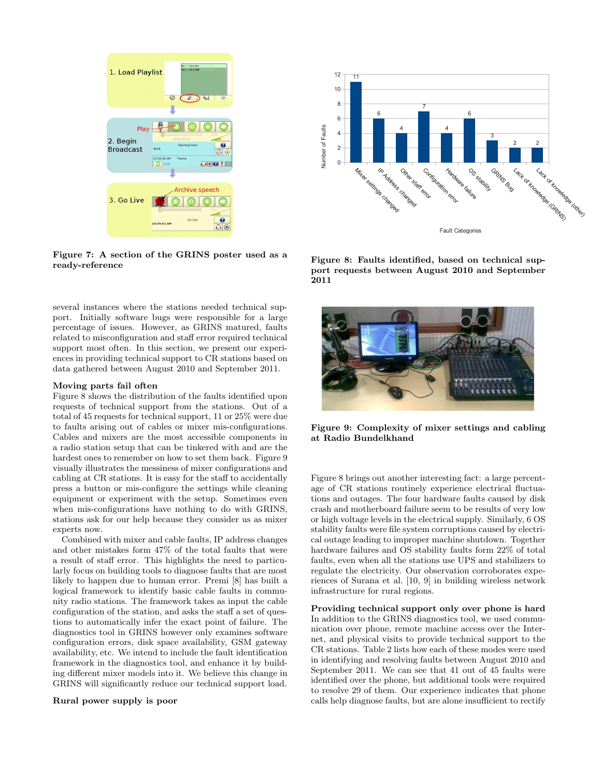

Figure 7: A section of the GRINS poster used as a ready-reference

several instances where the stations needed technical support. Initially software bugs were responsible for a large percentage of issues. However, as GRINS matured, faults related to misconfiguration and staff error required technical support most often. In this section, we present our experiences in providing technical support to CR stations based on data gathered between August 2010 and September 2011.

#### Moving parts fail often

Figure 8 shows the distribution of the faults identified upon requests of technical support from the stations. Out of a total of 45 requests for technical support, 11 or 25% were due to faults arising out of cables or mixer mis-configurations. Cables and mixers are the most accessible components in a radio station setup that can be tinkered with and are the hardest ones to remember on how to set them back. Figure 9 visually illustrates the messiness of mixer configurations and cabling at CR stations. It is easy for the staff to accidentally press a button or mis-configure the settings while cleaning equipment or experiment with the setup. Sometimes even when mis-configurations have nothing to do with GRINS, stations ask for our help because they consider us as mixer experts now.

Combined with mixer and cable faults, IP address changes and other mistakes form 47% of the total faults that were a result of staff error. This highlights the need to particularly focus on building tools to diagnose faults that are most likely to happen due to human error. Premi [8] has built a logical framework to identify basic cable faults in community radio stations. The framework takes as input the cable configuration of the station, and asks the staff a set of questions to automatically infer the exact point of failure. The diagnostics tool in GRINS however only examines software configuration errors, disk space availability, GSM gateway availability, etc. We intend to include the fault identification framework in the diagnostics tool, and enhance it by building different mixer models into it. We believe this change in GRINS will significantly reduce our technical support load.

## Rural power supply is poor



Figure 8: Faults identified, based on technical support requests between August 2010 and September 2011



Figure 9: Complexity of mixer settings and cabling at Radio Bundelkhand

Figure 8 brings out another interesting fact: a large percentage of CR stations routinely experience electrical fluctuations and outages. The four hardware faults caused by disk crash and motherboard failure seem to be results of very low or high voltage levels in the electrical supply. Similarly, 6 OS stability faults were file system corruptions caused by electrical outage leading to improper machine shutdown. Together hardware failures and OS stability faults form 22% of total faults, even when all the stations use UPS and stabilizers to regulate the electricity. Our observation corroborates experiences of Surana et al. [10, 9] in building wireless network infrastructure for rural regions.

Providing technical support only over phone is hard In addition to the GRINS diagnostics tool, we used communication over phone, remote machine access over the Internet, and physical visits to provide technical support to the CR stations. Table 2 lists how each of these modes were used in identifying and resolving faults between August 2010 and September 2011. We can see that 41 out of 45 faults were identified over the phone, but additional tools were required to resolve 29 of them. Our experience indicates that phone calls help diagnose faults, but are alone insufficient to rectify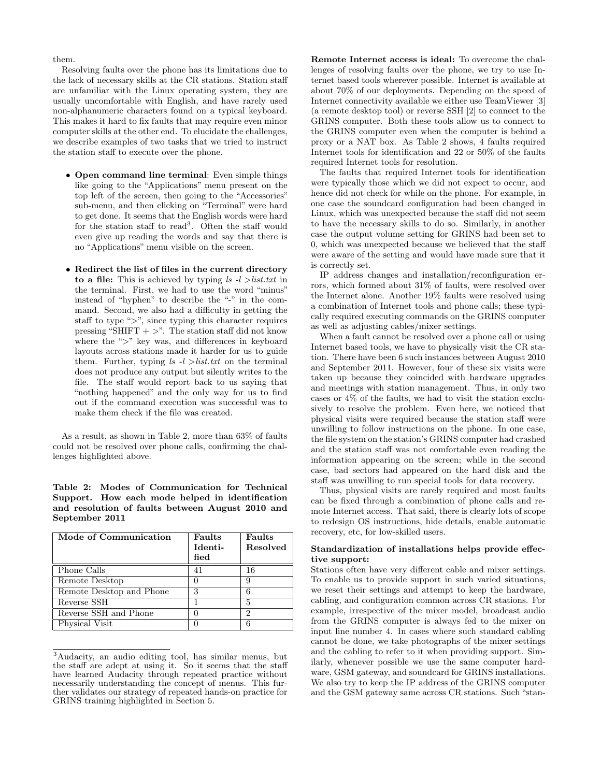them.

Resolving faults over the phone has its limitations due to the lack of necessary skills at the CR stations. Station staff are unfamiliar with the Linux operating system, they are usually uncomfortable with English, and have rarely used non-alphanumeric characters found on a typical keyboard. This makes it hard to fix faults that may require even minor computer skills at the other end. To elucidate the challenges, we describe examples of two tasks that we tried to instruct the station staff to execute over the phone.

- Open command line terminal: Even simple things like going to the "Applications" menu present on the top left of the screen, then going to the "Accessories" sub-menu, and then clicking on "Terminal" were hard to get done. It seems that the English words were hard for the station staff to read<sup>3</sup>. Often the staff would even give up reading the words and say that there is no "Applications" menu visible on the screen.
- Redirect the list of files in the current directory to a file: This is achieved by typing  $ls -l > list.txt$  in the terminal. First, we had to use the word "minus" instead of "hyphen" to describe the "-" in the command. Second, we also had a difficulty in getting the staff to type ">", since typing this character requires pressing "SHIFT  $+$  >". The station staff did not know where the ">" key was, and differences in keyboard layouts across stations made it harder for us to guide them. Further, typing  $ls$  -l  $>$  list.txt on the terminal does not produce any output but silently writes to the file. The staff would report back to us saying that "nothing happened" and the only way for us to find out if the command execution was successful was to make them check if the file was created.

As a result, as shown in Table 2, more than 63% of faults could not be resolved over phone calls, confirming the challenges highlighted above.

## Table 2: Modes of Communication for Technical Support. How each mode helped in identification and resolution of faults between August 2010 and September 2011

| Mode of Communication    | Faults<br>Identi-<br>fied | Faults<br>Resolved |
|--------------------------|---------------------------|--------------------|
| Phone Calls              | 41                        | 16                 |
| Remote Desktop           |                           | 9                  |
| Remote Desktop and Phone | 3                         | 6                  |
| Reverse SSH              |                           | 5                  |
| Reverse SSH and Phone    |                           | 2                  |
| Physical Visit           |                           | 6                  |

<sup>&</sup>lt;sup>3</sup>Audacity, an audio editing tool, has similar menus, but the staff are adept at using it. So it seems that the staff have learned Audacity through repeated practice without necessarily understanding the concept of menus. This further validates our strategy of repeated hands-on practice for GRINS training highlighted in Section 5.

Remote Internet access is ideal: To overcome the challenges of resolving faults over the phone, we try to use Internet based tools wherever possible. Internet is available at about 70% of our deployments. Depending on the speed of Internet connectivity available we either use TeamViewer [3] (a remote desktop tool) or reverse SSH [2] to connect to the GRINS computer. Both these tools allow us to connect to the GRINS computer even when the computer is behind a proxy or a NAT box. As Table 2 shows, 4 faults required Internet tools for identification and 22 or 50% of the faults required Internet tools for resolution.

The faults that required Internet tools for identification were typically those which we did not expect to occur, and hence did not check for while on the phone. For example, in one case the soundcard configuration had been changed in Linux, which was unexpected because the staff did not seem to have the necessary skills to do so. Similarly, in another case the output volume setting for GRINS had been set to 0, which was unexpected because we believed that the staff were aware of the setting and would have made sure that it is correctly set.

IP address changes and installation/reconfiguration errors, which formed about 31% of faults, were resolved over the Internet alone. Another 19% faults were resolved using a combination of Internet tools and phone calls; these typically required executing commands on the GRINS computer as well as adjusting cables/mixer settings.

When a fault cannot be resolved over a phone call or using Internet based tools, we have to physically visit the CR station. There have been 6 such instances between August 2010 and September 2011. However, four of these six visits were taken up because they coincided with hardware upgrades and meetings with station management. Thus, in only two cases or 4% of the faults, we had to visit the station exclusively to resolve the problem. Even here, we noticed that physical visits were required because the station staff were unwilling to follow instructions on the phone. In one case, the file system on the station's GRINS computer had crashed and the station staff was not comfortable even reading the information appearing on the screen; while in the second case, bad sectors had appeared on the hard disk and the staff was unwilling to run special tools for data recovery.

Thus, physical visits are rarely required and most faults can be fixed through a combination of phone calls and remote Internet access. That said, there is clearly lots of scope to redesign OS instructions, hide details, enable automatic recovery, etc, for low-skilled users.

## Standardization of installations helps provide effective support:

Stations often have very different cable and mixer settings. To enable us to provide support in such varied situations, we reset their settings and attempt to keep the hardware, cabling, and configuration common across CR stations. For example, irrespective of the mixer model, broadcast audio from the GRINS computer is always fed to the mixer on input line number 4. In cases where such standard cabling cannot be done, we take photographs of the mixer settings and the cabling to refer to it when providing support. Similarly, whenever possible we use the same computer hardware, GSM gateway, and soundcard for GRINS installations. We also try to keep the IP address of the GRINS computer and the GSM gateway same across CR stations. Such "stan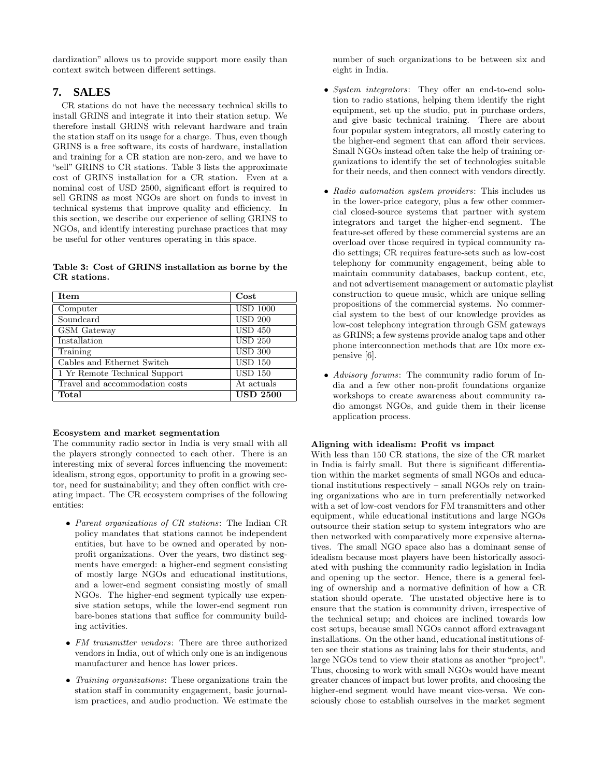dardization" allows us to provide support more easily than context switch between different settings.

# **7. SALES**

CR stations do not have the necessary technical skills to install GRINS and integrate it into their station setup. We therefore install GRINS with relevant hardware and train the station staff on its usage for a charge. Thus, even though GRINS is a free software, its costs of hardware, installation and training for a CR station are non-zero, and we have to "sell" GRINS to CR stations. Table 3 lists the approximate cost of GRINS installation for a CR station. Even at a nominal cost of USD 2500, significant effort is required to sell GRINS as most NGOs are short on funds to invest in technical systems that improve quality and efficiency. In this section, we describe our experience of selling GRINS to NGOs, and identify interesting purchase practices that may be useful for other ventures operating in this space.

## Table 3: Cost of GRINS installation as borne by the CR stations.

| Item                           | Cost            |
|--------------------------------|-----------------|
| Computer                       | <b>USD 1000</b> |
| Soundcard                      | <b>USD 200</b>  |
| GSM Gateway                    | <b>USD 450</b>  |
| Installation                   | <b>USD 250</b>  |
| Training                       | <b>USD 300</b>  |
| Cables and Ethernet Switch     | <b>USD 150</b>  |
| 1 Yr Remote Technical Support  | <b>USD 150</b>  |
| Travel and accommodation costs | At actuals      |
| Total                          | <b>USD 2500</b> |

## Ecosystem and market segmentation

The community radio sector in India is very small with all the players strongly connected to each other. There is an interesting mix of several forces influencing the movement: idealism, strong egos, opportunity to profit in a growing sector, need for sustainability; and they often conflict with creating impact. The CR ecosystem comprises of the following entities:

- Parent organizations of CR stations: The Indian CR policy mandates that stations cannot be independent entities, but have to be owned and operated by nonprofit organizations. Over the years, two distinct segments have emerged: a higher-end segment consisting of mostly large NGOs and educational institutions, and a lower-end segment consisting mostly of small NGOs. The higher-end segment typically use expensive station setups, while the lower-end segment run bare-bones stations that suffice for community building activities.
- FM transmitter vendors: There are three authorized vendors in India, out of which only one is an indigenous manufacturer and hence has lower prices.
- Training organizations: These organizations train the station staff in community engagement, basic journalism practices, and audio production. We estimate the

number of such organizations to be between six and eight in India.

- System integrators: They offer an end-to-end solution to radio stations, helping them identify the right equipment, set up the studio, put in purchase orders, and give basic technical training. There are about four popular system integrators, all mostly catering to the higher-end segment that can afford their services. Small NGOs instead often take the help of training organizations to identify the set of technologies suitable for their needs, and then connect with vendors directly.
- Radio automation system providers: This includes us in the lower-price category, plus a few other commercial closed-source systems that partner with system integrators and target the higher-end segment. The feature-set offered by these commercial systems are an overload over those required in typical community radio settings; CR requires feature-sets such as low-cost telephony for community engagement, being able to maintain community databases, backup content, etc, and not advertisement management or automatic playlist construction to queue music, which are unique selling propositions of the commercial systems. No commercial system to the best of our knowledge provides as low-cost telephony integration through GSM gateways as GRINS; a few systems provide analog taps and other phone interconnection methods that are 10x more expensive [6].
- Advisory forums: The community radio forum of India and a few other non-profit foundations organize workshops to create awareness about community radio amongst NGOs, and guide them in their license application process.

## Aligning with idealism: Profit vs impact

With less than 150 CR stations, the size of the CR market in India is fairly small. But there is significant differentiation within the market segments of small NGOs and educational institutions respectively – small NGOs rely on training organizations who are in turn preferentially networked with a set of low-cost vendors for FM transmitters and other equipment, while educational institutions and large NGOs outsource their station setup to system integrators who are then networked with comparatively more expensive alternatives. The small NGO space also has a dominant sense of idealism because most players have been historically associated with pushing the community radio legislation in India and opening up the sector. Hence, there is a general feeling of ownership and a normative definition of how a CR station should operate. The unstated objective here is to ensure that the station is community driven, irrespective of the technical setup; and choices are inclined towards low cost setups, because small NGOs cannot afford extravagant installations. On the other hand, educational institutions often see their stations as training labs for their students, and large NGOs tend to view their stations as another "project". Thus, choosing to work with small NGOs would have meant greater chances of impact but lower profits, and choosing the higher-end segment would have meant vice-versa. We consciously chose to establish ourselves in the market segment